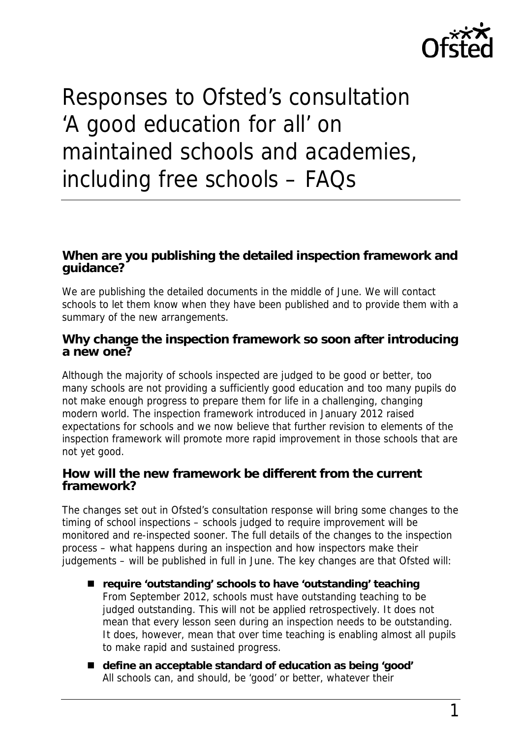

# Responses to Ofsted's consultation 'A good education for all' on maintained schools and academies, including free schools – FAQs

## **When are you publishing the detailed inspection framework and guidance?**

We are publishing the detailed documents in the middle of June. We will contact schools to let them know when they have been published and to provide them with a summary of the new arrangements.

## **Why change the inspection framework so soon after introducing a new one?**

Although the majority of schools inspected are judged to be good or better, too many schools are not providing a sufficiently good education and too many pupils do not make enough progress to prepare them for life in a challenging, changing modern world. The inspection framework introduced in January 2012 raised expectations for schools and we now believe that further revision to elements of the inspection framework will promote more rapid improvement in those schools that are not yet good.

### **How will the new framework be different from the current framework?**

The changes set out in Ofsted's consultation response will bring some changes to the timing of school inspections – schools judged to require improvement will be monitored and re-inspected sooner. The full details of the changes to the inspection process – what happens during an inspection and how inspectors make their judgements – will be published in full in June. The key changes are that Ofsted will:

- **require 'outstanding' schools to have 'outstanding' teaching** From September 2012, schools must have outstanding teaching to be judged outstanding. This will not be applied retrospectively. It does not mean that every lesson seen during an inspection needs to be outstanding. It does, however, mean that over time teaching is enabling almost all pupils to make rapid and sustained progress.
- **define an acceptable standard of education as being 'good'** All schools can, and should, be 'good' or better, whatever their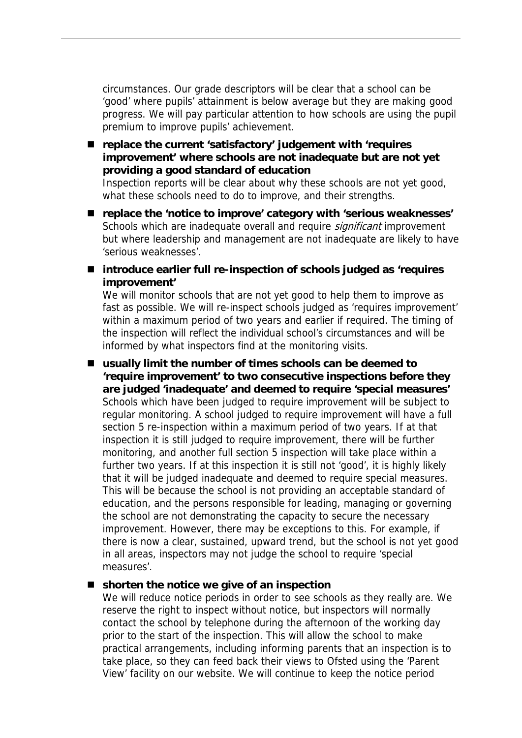circumstances. Our grade descriptors will be clear that a school can be 'good' where pupils' attainment is below average but they are making good progress. We will pay particular attention to how schools are using the pupil premium to improve pupils' achievement.

#### ■ replace the current 'satisfactory' judgement with 'requires **improvement' where schools are not inadequate but are not yet providing a good standard of education**

Inspection reports will be clear about why these schools are not yet good, what these schools need to do to improve, and their strengths.

- **replace the 'notice to improve' category with 'serious weaknesses'** Schools which are inadequate overall and require *significant* improvement but where leadership and management are not inadequate are likely to have 'serious weaknesses'.
- introduce earlier full re-inspection of schools judged as 'requires **improvement'**

We will monitor schools that are not yet good to help them to improve as fast as possible. We will re-inspect schools judged as 'requires improvement' within a maximum period of two years and earlier if required. The timing of the inspection will reflect the individual school's circumstances and will be informed by what inspectors find at the monitoring visits.

■ usually limit the number of times schools can be deemed to **'require improvement' to two consecutive inspections before they are judged 'inadequate' and deemed to require 'special measures'** Schools which have been judged to require improvement will be subject to regular monitoring. A school judged to require improvement will have a full section 5 re-inspection within a maximum period of two years. If at that inspection it is still judged to require improvement, there will be further monitoring, and another full section 5 inspection will take place within a further two years. If at this inspection it is still not 'good', it is highly likely that it will be judged inadequate and deemed to require special measures. This will be because the school is not providing an acceptable standard of education, and the persons responsible for leading, managing or governing the school are not demonstrating the capacity to secure the necessary improvement. However, there may be exceptions to this. For example, if there is now a clear, sustained, upward trend, but the school is not yet good in all areas, inspectors may not judge the school to require 'special measures'.

#### ■ shorten the notice we give of an inspection

We will reduce notice periods in order to see schools as they really are. We reserve the right to inspect without notice, but inspectors will normally contact the school by telephone during the afternoon of the working day prior to the start of the inspection. This will allow the school to make practical arrangements, including informing parents that an inspection is to take place, so they can feed back their views to Ofsted using the 'Parent View' facility on our website. We will continue to keep the notice period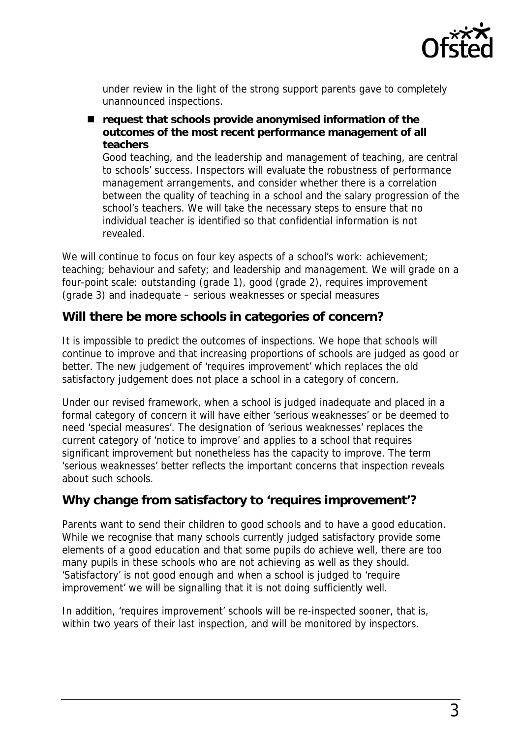

under review in the light of the strong support parents gave to completely unannounced inspections.

■ request that schools provide anonymised information of the **outcomes of the most recent performance management of all teachers**

Good teaching, and the leadership and management of teaching, are central to schools' success. Inspectors will evaluate the robustness of performance management arrangements, and consider whether there is a correlation between the quality of teaching in a school and the salary progression of the school's teachers. We will take the necessary steps to ensure that no individual teacher is identified so that confidential information is not revealed.

We will continue to focus on four key aspects of a school's work: achievement; teaching; behaviour and safety; and leadership and management. We will grade on a four-point scale: outstanding (grade 1), good (grade 2), requires improvement (grade 3) and inadequate – serious weaknesses or special measures

## **Will there be more schools in categories of concern?**

It is impossible to predict the outcomes of inspections. We hope that schools will continue to improve and that increasing proportions of schools are judged as good or better. The new judgement of 'requires improvement' which replaces the old satisfactory judgement does not place a school in a category of concern.

Under our revised framework, when a school is judged inadequate and placed in a formal category of concern it will have either 'serious weaknesses' or be deemed to need 'special measures'. The designation of 'serious weaknesses' replaces the current category of 'notice to improve' and applies to a school that requires significant improvement but nonetheless has the capacity to improve. The term 'serious weaknesses' better reflects the important concerns that inspection reveals about such schools.

## **Why change from satisfactory to 'requires improvement'?**

Parents want to send their children to good schools and to have a good education. While we recognise that many schools currently judged satisfactory provide some elements of a good education and that some pupils do achieve well, there are too many pupils in these schools who are not achieving as well as they should. 'Satisfactory' is not good enough and when a school is judged to 'require improvement' we will be signalling that it is not doing sufficiently well.

In addition, 'requires improvement' schools will be re-inspected sooner, that is, within two years of their last inspection, and will be monitored by inspectors.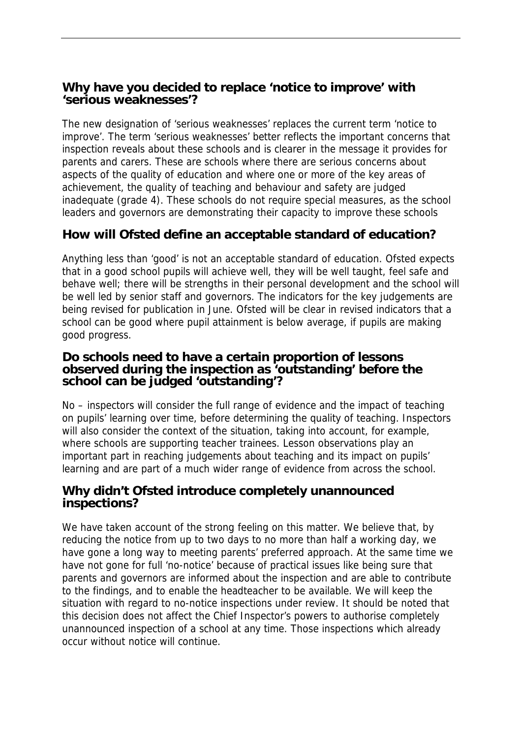## **Why have you decided to replace 'notice to improve' with 'serious weaknesses'?**

The new designation of 'serious weaknesses' replaces the current term 'notice to improve'. The term 'serious weaknesses' better reflects the important concerns that inspection reveals about these schools and is clearer in the message it provides for parents and carers. These are schools where there are serious concerns about aspects of the quality of education and where one or more of the key areas of achievement, the quality of teaching and behaviour and safety are judged inadequate (grade 4). These schools do not require special measures, as the school leaders and governors are demonstrating their capacity to improve these schools

# **How will Ofsted define an acceptable standard of education?**

Anything less than 'good' is not an acceptable standard of education. Ofsted expects that in a good school pupils will achieve well, they will be well taught, feel safe and behave well; there will be strengths in their personal development and the school will be well led by senior staff and governors. The indicators for the key judgements are being revised for publication in June. Ofsted will be clear in revised indicators that a school can be good where pupil attainment is below average, if pupils are making good progress.

## **Do schools need to have a certain proportion of lessons observed during the inspection as 'outstanding' before the school can be judged 'outstanding'?**

No – inspectors will consider the full range of evidence and the impact of teaching on pupils' learning over time, before determining the quality of teaching. Inspectors will also consider the context of the situation, taking into account, for example, where schools are supporting teacher trainees. Lesson observations play an important part in reaching judgements about teaching and its impact on pupils' learning and are part of a much wider range of evidence from across the school.

## **Why didn't Ofsted introduce completely unannounced inspections?**

We have taken account of the strong feeling on this matter. We believe that, by reducing the notice from up to two days to no more than half a working day, we have gone a long way to meeting parents' preferred approach. At the same time we have not gone for full 'no-notice' because of practical issues like being sure that parents and governors are informed about the inspection and are able to contribute to the findings, and to enable the headteacher to be available. We will keep the situation with regard to no-notice inspections under review. It should be noted that this decision does not affect the Chief Inspector's powers to authorise completely unannounced inspection of a school at any time. Those inspections which already occur without notice will continue.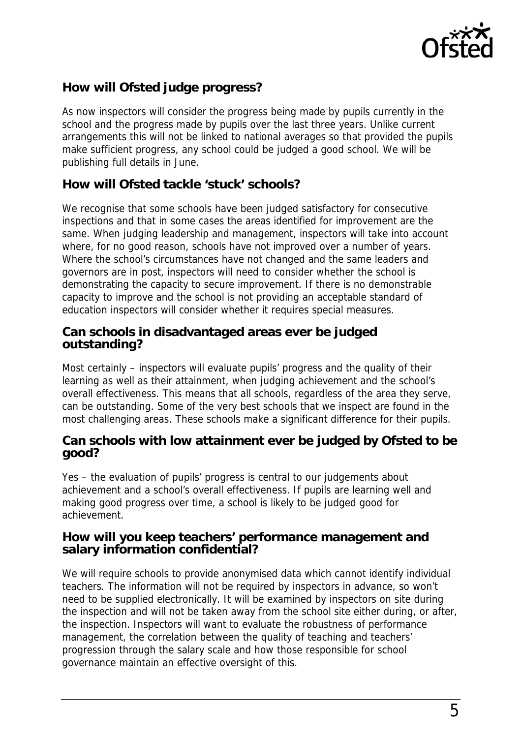

# **How will Ofsted judge progress?**

As now inspectors will consider the progress being made by pupils currently in the school and the progress made by pupils over the last three years. Unlike current arrangements this will not be linked to national averages so that provided the pupils make sufficient progress, any school could be judged a good school. We will be publishing full details in June.

## **How will Ofsted tackle 'stuck' schools?**

We recognise that some schools have been judged satisfactory for consecutive inspections and that in some cases the areas identified for improvement are the same. When judging leadership and management, inspectors will take into account where, for no good reason, schools have not improved over a number of years. Where the school's circumstances have not changed and the same leaders and governors are in post, inspectors will need to consider whether the school is demonstrating the capacity to secure improvement. If there is no demonstrable capacity to improve and the school is not providing an acceptable standard of education inspectors will consider whether it requires special measures.

## **Can schools in disadvantaged areas ever be judged outstanding?**

Most certainly – inspectors will evaluate pupils' progress and the quality of their learning as well as their attainment, when judging achievement and the school's overall effectiveness. This means that all schools, regardless of the area they serve, can be outstanding. Some of the very best schools that we inspect are found in the most challenging areas. These schools make a significant difference for their pupils.

## **Can schools with low attainment ever be judged by Ofsted to be good?**

Yes – the evaluation of pupils' progress is central to our judgements about achievement and a school's overall effectiveness. If pupils are learning well and making good progress over time, a school is likely to be judged good for achievement.

## **How will you keep teachers' performance management and salary information confidential?**

We will require schools to provide anonymised data which cannot identify individual teachers. The information will not be required by inspectors in advance, so won't need to be supplied electronically. It will be examined by inspectors on site during the inspection and will not be taken away from the school site either during, or after, the inspection. Inspectors will want to evaluate the robustness of performance management, the correlation between the quality of teaching and teachers' progression through the salary scale and how those responsible for school governance maintain an effective oversight of this.